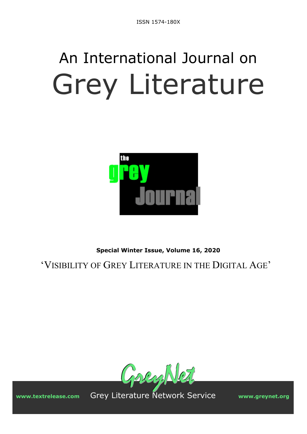# An International Journal on Grey Literature



**Special Winter Issue, Volume 16, 2020** 

'VISIBILITY OF GREY LITERATURE IN THE DIGITAL AGE'



**www.textrelease.com** Grey Literature Network Service **www.greynet.org**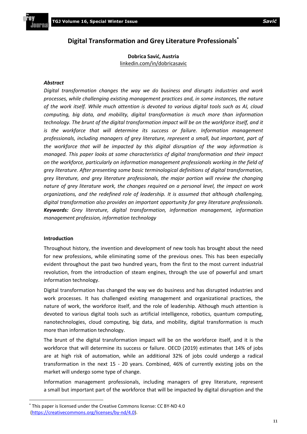# **Digital Transformation and Grey Literature Professionals\***

**Dobrica Savić, Austria** [linkedin.com/in/dobricasavic](https://www.linkedin.com/in/dobricasavic/) 

#### *Abstract*

*Digital transformation changes the way we do business and disrupts industries and work processes, while challenging existing management practices and, in some instances, the nature of the work itself. While much attention is devoted to various digital tools such as AI, cloud computing, big data, and mobility, digital transformation is much more than information technology. The brunt of the digital transformation impact will be on the workforce itself, and it*  is the workforce that will determine its success or failure. Information management *professionals, including managers of grey literature, represent a small, but important, part of the workforce that will be impacted by this digital disruption of the way information is managed. This paper looks at some characteristics of digital transformation and their impact on the workforce, particularly on information management professionals working in the field of grey literature. After presenting some basic terminological definitions of digital transformation, grey literature, and grey literature professionals, the major portion will review the changing nature of grey literature work, the changes required on a personal level, the impact on work organizations, and the redefined role of leadership. It is assumed that although challenging, digital transformation also provides an important opportunity for grey literature professionals. Keywords: Grey literature, digital transformation, information management, information management profession, information technology* 

# **Introduction**

Throughout history, the invention and development of new tools has brought about the need for new professions, while eliminating some of the previous ones. This has been especially evident throughout the past two hundred years, from the first to the most current industrial revolution, from the introduction of steam engines, through the use of powerful and smart information technology.

Digital transformation has changed the way we do business and has disrupted industries and work processes. It has challenged existing management and organizational practices, the nature of work, the workforce itself, and the role of leadership. Although much attention is devoted to various digital tools such as artificial intelligence, robotics, quantum computing, nanotechnologies, cloud computing, big data, and mobility, digital transformation is much more than information technology.

The brunt of the digital transformation impact will be on the workforce itself, and it is the workforce that will determine its success or failure. OECD (2019) estimates that 14% of jobs are at high risk of automation, while an additional 32% of jobs could undergo a radical transformation in the next 15 - 20 years. Combined, 46% of currently existing jobs on the market will undergo some type of change.

Information management professionals, including managers of grey literature, represent a small but important part of the workforce that will be impacted by digital disruption and the

<sup>\*</sup> This paper is licensed under the Creative Commons license: CC BY-ND 4.0 (https://creativecommons.org/licenses/by-nd/4.0).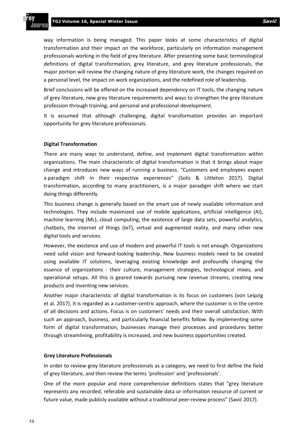way information is being managed. This paper looks at some characteristics of digital transformation and their impact on the workforce, particularly on information management professionals working in the field of grey literature. After presenting some basic terminological definitions of digital transformation, grey literature, and grey literature professionals, the major portion will review the changing nature of grey literature work, the changes required on a personal level, the impact on work organizations, and the redefined role of leadership.

Brief conclusions will be offered on the increased dependency on IT tools, the changing nature of grey literature, new grey literature requirements and ways to strengthen the grey literature profession through training, and personal and professional development.

It is assumed that although challenging, digital transformation provides an important opportunity for grey literature professionals.

#### **Digital Transformation**

There are many ways to understand, define, and implement digital transformation within organizations. The main characteristic of digital transformation is that it brings about major change and introduces new ways of running a business. "Customers and employees expect a paradigm shift in their respective experiences" (Solis & Littleton 2017). Digital transformation, according to many practitioners, is a major paradigm shift where we start doing things differently.

This business change is generally based on the smart use of newly available information and technologies. They include maximized use of mobile applications, artificial intelligence (AI), machine learning (ML), cloud computing, the existence of large data sets, powerful analytics, chatbots, the internet of things (IoT), virtual and augmented reality, and many other new digital tools and services.

However, the existence and use of modern and powerful IT tools is not enough. Organizations need solid vision and forward-looking leadership. New business models need to be created using available IT solutions, leveraging existing knowledge and profoundly changing the essence of organizations - their culture, management strategies, technological mixes, and operational setups. All this is geared towards pursuing new revenue streams, creating new products and inventing new services.

Another major characteristic of digital transformation is its focus on customers (von Leipzig et al. 2017). It is regarded as a customer-centric approach, where the customer is in the centre of all decisions and actions. Focus is on customers' needs and their overall satisfaction. With such an approach, business, and particularly financial benefits follow. By implementing some form of digital transformation, businesses manage their processes and procedures better through streamlining, profitability is increased, and new business opportunities created.

#### **Grey Literature Professionals**

In order to review grey literature professionals as a category, we need to first define the field of grey literature, and then review the terms 'profession' and 'professionals'.

One of the more popular and more comprehensive definitions states that "grey literature represents any recorded, referable and sustainable data or information resource of current or future value, made publicly available without a traditional peer-review process" (Savić 2017).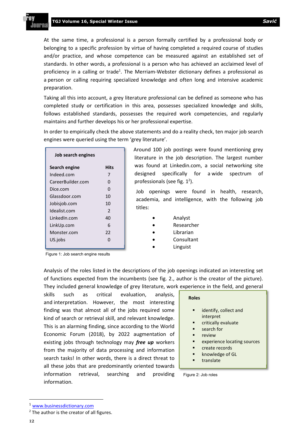mirn

At the same time, a professional is a person formally certified by a professional body or belonging to a specific profession by virtue of having completed a required course of studies and/or practice, and whose competence can be measured against an established set of standards. In other words, a professional is a person who has achieved an acclaimed level of proficiency in a calling or trade<sup>1</sup>. The Merriam-Webster dictionary defines a professional as a person or calling requiring specialized knowledge and often long and intensive academic preparation.

Taking all this into account, a grey literature professional can be defined as someone who has completed study or certification in this area, possesses specialized knowledge and skills, follows established standards, possesses the required work competencies, and regularly maintains and further develops his or her professional expertise.

In order to empirically check the above statements and do a reality check, ten major job search engines were queried using the term 'grey literature'.

| Job search engines |               |
|--------------------|---------------|
| Search engine      | Hits          |
| Indeed.com         | 7             |
| CareerBuilder.com  | O             |
| Dice.com           | O             |
| Glassdoor.com      | 10            |
| Jobisjob.com       | 10            |
| Idealist.com       | $\mathcal{P}$ |
| LinkedIn.com       | 40            |
| LinkUp.com         | 6             |
| Monster.com        | 22            |
| US.jobs            | n             |
|                    |               |

Around 100 job postings were found mentioning grey literature in the job description. The largest number was found at Linkedin.com, a social networking site designed specifically for a wide spectrum of professionals (see fig.  $1^2$ ).

Job openings were found in health, research, academia, and intelligence, with the following job titles:

- Analyst
- Researcher
- Librarian
- Consultant
- Linguist

Figure 1: Job search engine results

Analysis of the roles listed in the descriptions of the job openings indicated an interesting set of functions expected from the incumbents (see fig. 2., author is the creator of the picture). They included general knowledge of grey literature, work experience in the field, and general

skills such as critical evaluation, analysis, and interpretation. However, the most interesting finding was that almost all of the jobs required some kind of search or retrieval skill, and relevant knowledge. This is an alarming finding, since according to the World Economic Forum (2018), by 2022 augmentation of existing jobs through technology may *free up* workers from the majority of data processing and information search tasks! In other words, there is a direct threat to all these jobs that are predominantly oriented towards information retrieval, searching and providing information.

#### **Roles**

- identify, collect and interpret
- critically evaluate
- search for
- review
- experience locating sources
- create records
- knowledge of GL
- translate

#### Figure 2: Job roles

<sup>1</sup> www.businessdictionary.com

 $2$  The author is the creator of all figures.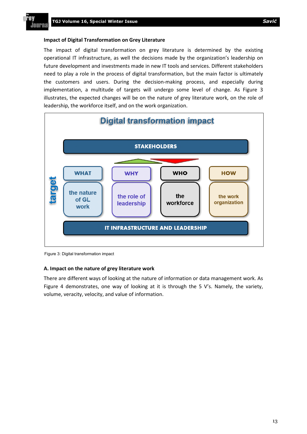PAN

**Journa** 

#### **Impact of Digital Transformation on Grey Literature**

The impact of digital transformation on grey literature is determined by the existing operational IT infrastructure, as well the decisions made by the organization's leadership on future development and investments made in new IT tools and services. Different stakeholders need to play a role in the process of digital transformation, but the main factor is ultimately the customers and users. During the decision-making process, and especially during implementation, a multitude of targets will undergo some level of change. As Figure 3 illustrates, the expected changes will be on the nature of grey literature work, on the role of leadership, the workforce itself, and on the work organization.



Figure 3: Digital transformation impact

#### **A. Impact on the nature of grey literature work**

There are different ways of looking at the nature of information or data management work. As Figure 4 demonstrates, one way of looking at it is through the 5 V's. Namely, the variety, volume, veracity, velocity, and value of information.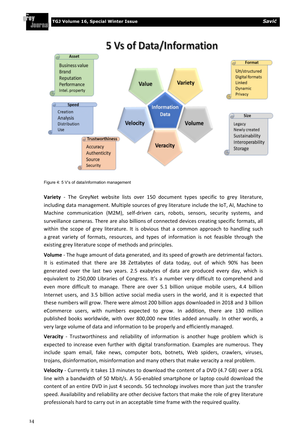PAN JAUPN



Figure 4: 5 V's of data/information management

**Variety** - The GreyNet website lists over 150 document types specific to grey literature, including data management. Multiple sources of grey literature include the IoT, AI, Machine to Machine communication (M2M), self-driven cars, robots, sensors, security systems, and surveillance cameras. There are also billions of connected devices creating specific formats, all within the scope of grey literature. It is obvious that a common approach to handling such a great variety of formats, resources, and types of information is not feasible through the existing grey literature scope of methods and principles.

**Volume** - The huge amount of data generated, and its speed of growth are detrimental factors. It is estimated that there are 38 Zettabytes of data today, out of which 90% has been generated over the last two years. 2.5 exabytes of data are produced every day, which is equivalent to 250,000 Libraries of Congress. It's a number very difficult to comprehend and even more difficult to manage. There are over 5.1 billion unique mobile users, 4.4 billion Internet users, and 3.5 billion active social media users in the world, and it is expected that these numbers will grow. There were almost 200 billion apps downloaded in 2018 and 3 billion eCommerce users, with numbers expected to grow. In addition, there are 130 million published books worldwide, with over 800,000 new titles added annually. In other words, a very large volume of data and information to be properly and efficiently managed.

**Veracity** - Trustworthiness and reliability of information is another huge problem which is expected to increase even further with digital transformation. Examples are numerous. They include spam email, fake news, computer bots, botnets, Web spiders, crawlers, viruses, trojans, disinformation, misinformation and many others that make veracity a real problem.

**Velocity** - Currently it takes 13 minutes to download the content of a DVD (4.7 GB) over a DSL line with a bandwidth of 50 Mbit/s. A 5G-enabled smartphone or laptop could download the content of an entire DVD in just 4 seconds. 5G technology involves more than just the transfer speed. Availability and reliability are other decisive factors that make the role of grey literature professionals hard to carry out in an acceptable time frame with the required quality.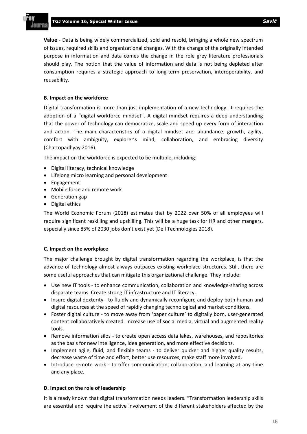**Value** - Data is being widely commercialized, sold and resold, bringing a whole new spectrum of issues, required skills and organizational changes. With the change of the originally intended purpose in information and data comes the change in the role grey literature professionals should play. The notion that the value of information and data is not being depleted after consumption requires a strategic approach to long-term preservation, interoperability, and reusability.

#### **B. Impact on the workforce**

Digital transformation is more than just implementation of a new technology. It requires the adoption of a "digital workforce mindset". A digital mindset requires a deep understanding that the power of technology can democratize, scale and speed up every form of interaction and action. The main characteristics of a digital mindset are: abundance, growth, agility, comfort with ambiguity, explorer's mind, collaboration, and embracing diversity (Chattopadhyay 2016).

The impact on the workforce is expected to be multiple, including:

- Digital literacy, technical knowledge
- Lifelong micro learning and personal development
- Engagement
- Mobile force and remote work
- Generation gap
- Digital ethics

The World Economic Forum (2018) estimates that by 2022 over 50% of all employees will require significant reskilling and upskilling. This will be a huge task for HR and other mangers, especially since 85% of 2030 jobs don't exist yet (Dell Technologies 2018).

# **C. Impact on the workplace**

The major challenge brought by digital transformation regarding the workplace, is that the advance of technology almost always outpaces existing workplace structures. Still, there are some useful approaches that can mitigate this organizational challenge. They include:

- Use new IT tools to enhance communication, collaboration and knowledge-sharing across disparate teams. Create strong IT infrastructure and IT literacy.
- Insure digital dexterity to fluidly and dynamically reconfigure and deploy both human and digital resources at the speed of rapidly changing technological and market conditions.
- Foster digital culture to move away from 'paper culture' to digitally born, user-generated content collaboratively created. Increase use of social media, virtual and augmented reality tools.
- Remove information silos to create open access data lakes, warehouses, and repositories as the basis for new intelligence, idea generation, and more effective decisions.
- Implement agile, fluid, and flexible teams to deliver quicker and higher quality results, decrease waste of time and effort, better use resources, make staff more involved.
- Introduce remote work to offer communication, collaboration, and learning at any time and any place.

# **D. Impact on the role of leadership**

It is already known that digital transformation needs leaders. "Transformation leadership skills are essential and require the active involvement of the different stakeholders affected by the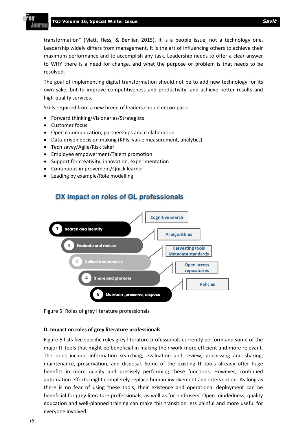transformation" (Matt, Hess, & Benlian 2015). It is a people issue, not a technology one. Leadership widely differs from management. It is the art of influencing others to achieve their maximum performance and to accomplish any task. Leadership needs to offer a clear answer to WHY there is a need for change, and what the purpose or problem is that needs to be resolved.

The goal of implementing digital transformation should not be to add new technology for its own sake, but to improve competitiveness and productivity, and achieve better results and high-quality services.

Skills required from a new breed of leaders should encompass:

- Forward thinking/Visionaries/Strategists
- Customer focus
- Open communication, partnerships and collaboration
- Data-driven decision making (KPIs, value measurement, analytics)
- Tech savvy/Agile/Risk taker
- Employee empowerment/Talent promotion
- Support for creativity, innovation, experimentation
- Continuous improvement/Quick learner
- Leading by example/Role modelling



DX impact on roles of GL professionals

Figure 5: Roles of grey literature professionals

# **D. Impact on roles of grey literature professionals**

Figure 5 lists five specific roles grey literature professionals currently perform and some of the major IT tools that might be beneficial in making their work more efficient and more relevant. The roles include information searching, evaluation and review, processing and sharing, maintenance, preservation, and disposal. Some of the existing IT tools already offer huge benefits in more quality and precisely performing these functions. However, continued automation efforts might completely replace human involvement and intervention. As long as there is no fear of using these tools, their existence and operational deployment can be beneficial for grey literature professionals, as well as for end-users. Open mindedness, quality education and well-planned training can make this transition less painful and more useful for everyone involved.